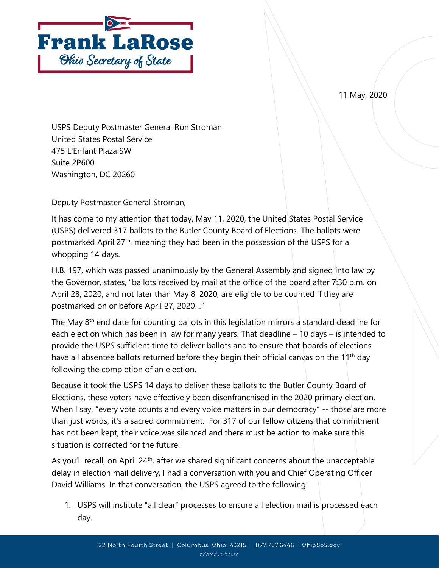



USPS Deputy Postmaster General Ron Stroman United States Postal Service 475 L'Enfant Plaza SW Suite 2P600 Washington, DC 20260

Deputy Postmaster General Stroman,

It has come to my attention that today, May 11, 2020, the United States Postal Service (USPS) delivered 317 ballots to the Butler County Board of Elections. The ballots were postmarked April 27th, meaning they had been in the possession of the USPS for a whopping 14 days.

H.B. 197, which was passed unanimously by the General Assembly and signed into law by the Governor, states, "ballots received by mail at the office of the board after 7:30 p.m. on April 28, 2020, and not later than May 8, 2020, are eligible to be counted if they are postmarked on or before April 27, 2020…"

The May  $8<sup>th</sup>$  end date for counting ballots in this legislation mirrors a standard deadline for each election which has been in law for many years. That deadline – 10 days – is intended to provide the USPS sufficient time to deliver ballots and to ensure that boards of elections have all absentee ballots returned before they begin their official canvas on the 11<sup>th</sup> day following the completion of an election.

Because it took the USPS 14 days to deliver these ballots to the Butler County Board of Elections, these voters have effectively been disenfranchised in the 2020 primary election. When I say, "every vote counts and every voice matters in our democracy" -- those are more than just words, it's a sacred commitment. For 317 of our fellow citizens that commitment has not been kept, their voice was silenced and there must be action to make sure this situation is corrected for the future.

As you'll recall, on April 24<sup>th</sup>, after we shared significant concerns about the unacceptable delay in election mail delivery, I had a conversation with you and Chief Operating Officer David Williams. In that conversation, the USPS agreed to the following:

1. USPS will institute "all clear" processes to ensure all election mail is processed each day.